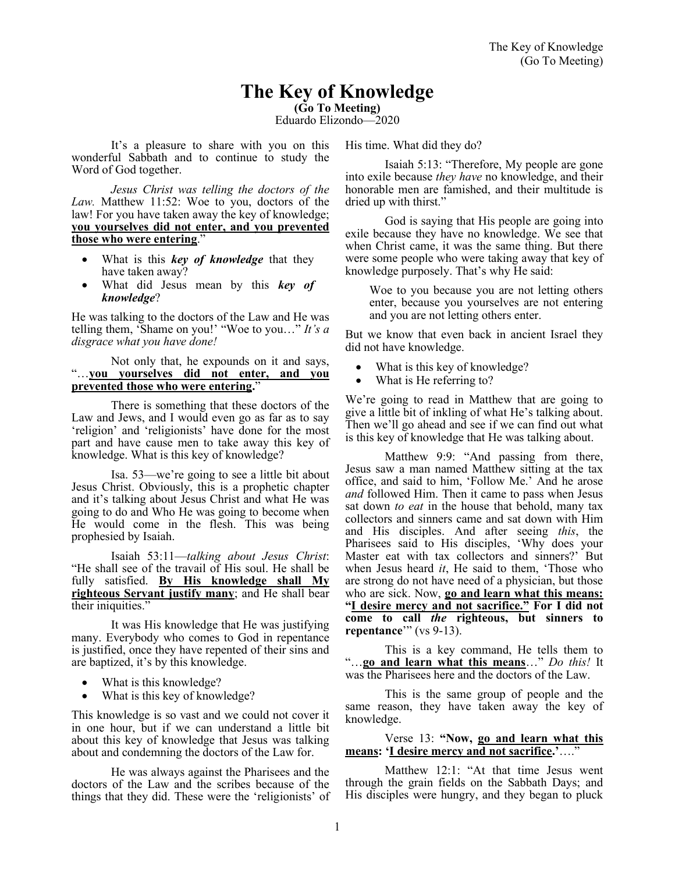# **The Key of Knowledge**

**(Go To Meeting)**

Eduardo Elizondo—2020

It's a pleasure to share with you on this wonderful Sabbath and to continue to study the Word of God together.

*Jesus Christ was telling the doctors of the Law.* Matthew 11:52: Woe to you, doctors of the law! For you have taken away the key of knowledge; **you yourselves did not enter, and you prevented those who were entering**."

- What is this *key of knowledge* that they have taken away?
- What did Jesus mean by this *key of knowledge*?

He was talking to the doctors of the Law and He was telling them, 'Shame on you!' "Woe to you…" *It's a disgrace what you have done!*

#### Not only that, he expounds on it and says, "…**you yourselves did not enter, and you prevented those who were entering.**"

There is something that these doctors of the Law and Jews, and I would even go as far as to say 'religion' and 'religionists' have done for the most part and have cause men to take away this key of knowledge. What is this key of knowledge?

Isa. 53—we're going to see a little bit about Jesus Christ. Obviously, this is a prophetic chapter and it's talking about Jesus Christ and what He was going to do and Who He was going to become when He would come in the flesh. This was being prophesied by Isaiah.

Isaiah 53:11—*talking about Jesus Christ*: "He shall see of the travail of His soul. He shall be fully satisfied. **By His knowledge shall My righteous Servant justify many**; and He shall bear their iniquities."

It was His knowledge that He was justifying many. Everybody who comes to God in repentance is justified, once they have repented of their sins and are baptized, it's by this knowledge.

- What is this knowledge?
- What is this key of knowledge?

This knowledge is so vast and we could not cover it in one hour, but if we can understand a little bit about this key of knowledge that Jesus was talking about and condemning the doctors of the Law for.

He was always against the Pharisees and the doctors of the Law and the scribes because of the things that they did. These were the 'religionists' of His time. What did they do?

Isaiah 5:13: "Therefore, My people are gone into exile because *they have* no knowledge, and their honorable men are famished, and their multitude is dried up with thirst."

God is saying that His people are going into exile because they have no knowledge. We see that when Christ came, it was the same thing. But there were some people who were taking away that key of knowledge purposely. That's why He said:

Woe to you because you are not letting others enter, because you yourselves are not entering and you are not letting others enter.

But we know that even back in ancient Israel they did not have knowledge.

- What is this key of knowledge?
- What is He referring to?

We're going to read in Matthew that are going to give a little bit of inkling of what He's talking about. Then we'll go ahead and see if we can find out what is this key of knowledge that He was talking about.

Matthew 9:9: "And passing from there, Jesus saw a man named Matthew sitting at the tax office, and said to him, 'Follow Me.' And he arose *and* followed Him. Then it came to pass when Jesus sat down *to eat* in the house that behold, many tax collectors and sinners came and sat down with Him and His disciples. And after seeing *this*, the Pharisees said to His disciples, 'Why does your Master eat with tax collectors and sinners?' But when Jesus heard *it*, He said to them, 'Those who are strong do not have need of a physician, but those who are sick. Now, **go and learn what this means: "I desire mercy and not sacrifice." For I did not come to call** *the* **righteous, but sinners to repentance**'" (vs 9-13).

This is a key command, He tells them to "…**go and learn what this means**…" *Do this!* It was the Pharisees here and the doctors of the Law.

This is the same group of people and the same reason, they have taken away the key of knowledge.

#### Verse 13: **"Now, go and learn what this means: 'I desire mercy and not sacrifice.'**…."

Matthew 12:1: "At that time Jesus went through the grain fields on the Sabbath Days; and His disciples were hungry, and they began to pluck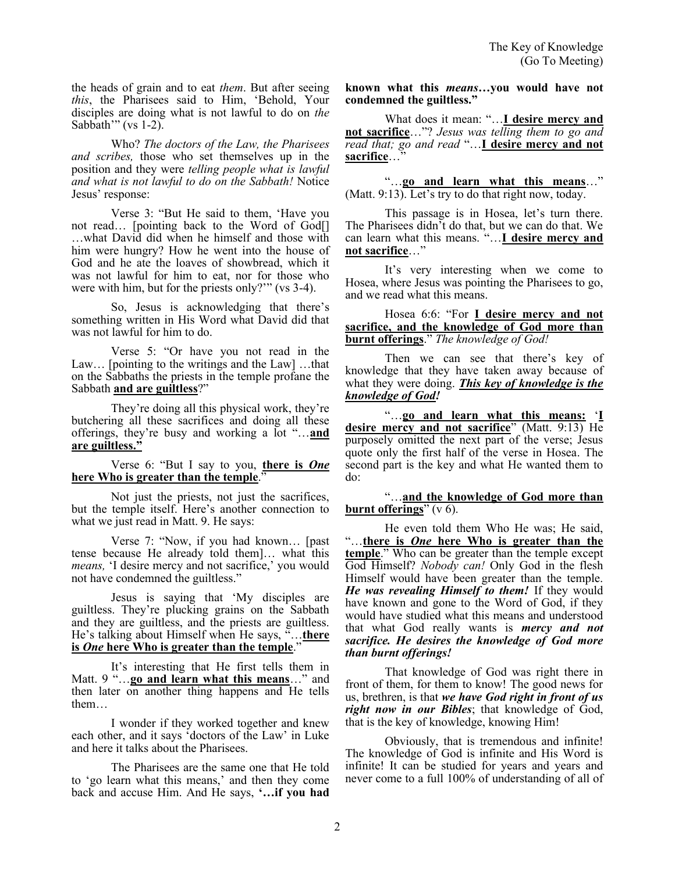the heads of grain and to eat *them*. But after seeing *this*, the Pharisees said to Him, 'Behold, Your disciples are doing what is not lawful to do on *the* Sabbath'" (vs  $1-2$ ).

Who? *The doctors of the Law, the Pharisees and scribes,* those who set themselves up in the position and they were *telling people what is lawful and what is not lawful to do on the Sabbath!* Notice Jesus' response:

Verse 3: "But He said to them, 'Have you not read... [pointing back to the Word of God[] …what David did when he himself and those with him were hungry? How he went into the house of God and he ate the loaves of showbread, which it was not lawful for him to eat, nor for those who were with him, but for the priests only?'" (vs 3-4).

So, Jesus is acknowledging that there's something written in His Word what David did that was not lawful for him to do.

Verse 5: "Or have you not read in the Law… [pointing to the writings and the Law] …that on the Sabbaths the priests in the temple profane the Sabbath **and are guiltless**?"

They're doing all this physical work, they're butchering all these sacrifices and doing all these offerings, they're busy and working a lot "…**and are guiltless."**

Verse 6: "But I say to you, **there is** *One* **here Who is greater than the temple**."

Not just the priests, not just the sacrifices, but the temple itself. Here's another connection to what we just read in Matt. 9. He says:

Verse 7: "Now, if you had known… [past tense because He already told them]… what this *means,* 'I desire mercy and not sacrifice,' you would not have condemned the guiltless."

Jesus is saying that 'My disciples are guiltless. They're plucking grains on the Sabbath and they are guiltless, and the priests are guiltless. He's talking about Himself when He says, "…**there is** *One* **here Who is greater than the temple**."

It's interesting that He first tells them in Matt. 9 "…**go and learn what this means**…" and then later on another thing happens and He tells them…

I wonder if they worked together and knew each other, and it says 'doctors of the Law' in Luke and here it talks about the Pharisees.

The Pharisees are the same one that He told to 'go learn what this means,' and then they come back and accuse Him. And He says, **'…if you had**  **known what this** *means…***you would have not condemned the guiltless."**

What does it mean: "...**I desire mercy and not sacrifice**…"? *Jesus was telling them to go and read that; go and read* "…**I desire mercy and not**  sacrifice...<sup>7</sup>

"…**go and learn what this means**…" (Matt. 9:13). Let's try to do that right now, today.

This passage is in Hosea, let's turn there. The Pharisees didn't do that, but we can do that. We can learn what this means. "…**I desire mercy and not sacrifice**…"

It's very interesting when we come to Hosea, where Jesus was pointing the Pharisees to go, and we read what this means.

Hosea 6:6: "For **I desire mercy and not sacrifice, and the knowledge of God more than burnt offerings**." *The knowledge of God!*

Then we can see that there's key of knowledge that they have taken away because of what they were doing. *This key of knowledge is the knowledge of God!*

"…**go and learn what this means:** '**I desire mercy and not sacrifice**" (Matt. 9:13) He purposely omitted the next part of the verse; Jesus quote only the first half of the verse in Hosea. The second part is the key and what He wanted them to do:

"…**and the knowledge of God more than burnt offerings**" (v 6).

He even told them Who He was; He said, "…**there is** *One* **here Who is greater than the temple**." Who can be greater than the temple except God Himself? *Nobody can!* Only God in the flesh Himself would have been greater than the temple. *He was revealing Himself to them!* If they would have known and gone to the Word of God, if they would have studied what this means and understood that what God really wants is *mercy and not sacrifice. He desires the knowledge of God more than burnt offerings!*

That knowledge of God was right there in front of them, for them to know! The good news for us, brethren, is that *we have God right in front of us right now in our Bibles*; that knowledge of God, that is the key of knowledge, knowing Him!

Obviously, that is tremendous and infinite! The knowledge of God is infinite and His Word is infinite! It can be studied for years and years and never come to a full 100% of understanding of all of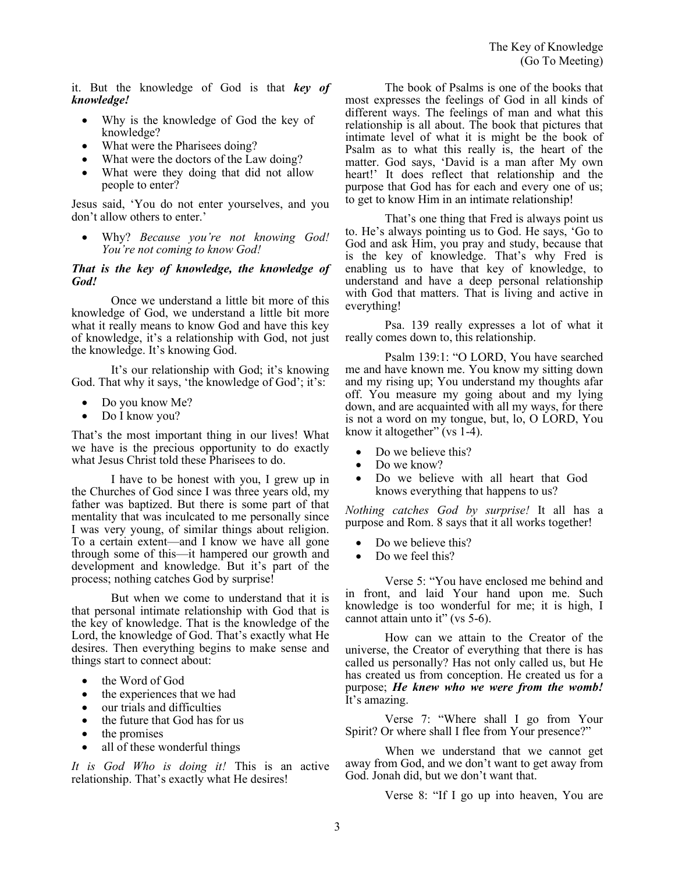it. But the knowledge of God is that *key of knowledge!*

- Why is the knowledge of God the key of knowledge?
- What were the Pharisees doing?
- What were the doctors of the Law doing?
- What were they doing that did not allow people to enter?

Jesus said, 'You do not enter yourselves, and you don't allow others to enter.'

• Why? *Because you're not knowing God! You're not coming to know God!*

#### *That is the key of knowledge, the knowledge of God!*

Once we understand a little bit more of this knowledge of God, we understand a little bit more what it really means to know God and have this key of knowledge, it's a relationship with God, not just the knowledge. It's knowing God.

It's our relationship with God; it's knowing God. That why it says, 'the knowledge of God'; it's:

- Do you know Me?
- Do I know you?

That's the most important thing in our lives! What we have is the precious opportunity to do exactly what Jesus Christ told these Pharisees to do.

I have to be honest with you, I grew up in the Churches of God since I was three years old, my father was baptized. But there is some part of that mentality that was inculcated to me personally since I was very young, of similar things about religion. To a certain extent—and I know we have all gone through some of this—it hampered our growth and development and knowledge. But it's part of the process; nothing catches God by surprise!

But when we come to understand that it is that personal intimate relationship with God that is the key of knowledge. That is the knowledge of the Lord, the knowledge of God. That's exactly what He desires. Then everything begins to make sense and things start to connect about:

- the Word of God
- the experiences that we had
- our trials and difficulties
- the future that God has for us
- the promises
- all of these wonderful things

*It is God Who is doing it!* This is an active relationship. That's exactly what He desires!

The book of Psalms is one of the books that most expresses the feelings of God in all kinds of different ways. The feelings of man and what this relationship is all about. The book that pictures that intimate level of what it is might be the book of Psalm as to what this really is, the heart of the matter. God says, 'David is a man after My own heart!' It does reflect that relationship and the purpose that God has for each and every one of us; to get to know Him in an intimate relationship!

That's one thing that Fred is always point us to. He's always pointing us to God. He says, 'Go to God and ask Him, you pray and study, because that is the key of knowledge. That's why Fred is enabling us to have that key of knowledge, to understand and have a deep personal relationship with God that matters. That is living and active in everything!

Psa. 139 really expresses a lot of what it really comes down to, this relationship.

Psalm 139:1: "O LORD, You have searched me and have known me. You know my sitting down and my rising up; You understand my thoughts afar off. You measure my going about and my lying down, and are acquainted with all my ways, for there is not a word on my tongue, but, lo, O LORD, You know it altogether" (vs 1-4).

- Do we believe this?
- Do we know?
- Do we believe with all heart that God knows everything that happens to us?

*Nothing catches God by surprise!* It all has a purpose and Rom. 8 says that it all works together!

- Do we believe this?
- Do we feel this?

Verse 5: "You have enclosed me behind and in front, and laid Your hand upon me. Such knowledge is too wonderful for me; it is high, I cannot attain unto it" (vs 5-6).

How can we attain to the Creator of the universe, the Creator of everything that there is has called us personally? Has not only called us, but He has created us from conception. He created us for a purpose; *He knew who we were from the womb!* It's amazing.

Verse 7: "Where shall I go from Your Spirit? Or where shall I flee from Your presence?"

When we understand that we cannot get away from God, and we don't want to get away from God. Jonah did, but we don't want that.

Verse 8: "If I go up into heaven, You are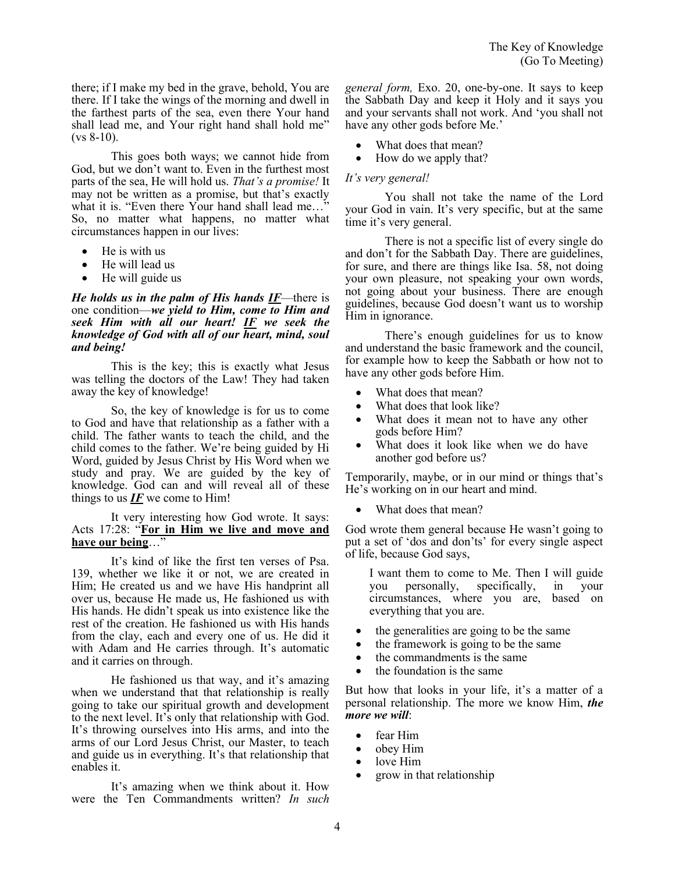there; if I make my bed in the grave, behold, You are there. If I take the wings of the morning and dwell in the farthest parts of the sea, even there Your hand shall lead me, and Your right hand shall hold me"  $(vs 8-10)$ .

This goes both ways; we cannot hide from God, but we don't want to. Even in the furthest most parts of the sea, He will hold us. *That's a promise!* It may not be written as a promise, but that's exactly what it is. "Even there Your hand shall lead me…" So, no matter what happens, no matter what circumstances happen in our lives:

- He is with us
- He will lead us
- He will guide us

#### *He holds us in the palm of His hands IF*—there is one condition—*we yield to Him, come to Him and seek Him with all our heart! IF we seek the knowledge of God with all of our heart, mind, soul and being!*

This is the key; this is exactly what Jesus was telling the doctors of the Law! They had taken away the key of knowledge!

So, the key of knowledge is for us to come to God and have that relationship as a father with a child. The father wants to teach the child, and the child comes to the father. We're being guided by Hi Word, guided by Jesus Christ by His Word when we study and pray. We are guided by the key of knowledge. God can and will reveal all of these things to us  $IF$  we come to Him!

#### It very interesting how God wrote. It says: Acts 17:28: "**For in Him we live and move and**  have our being...'

It's kind of like the first ten verses of Psa. 139, whether we like it or not, we are created in Him; He created us and we have His handprint all over us, because He made us, He fashioned us with His hands. He didn't speak us into existence like the rest of the creation. He fashioned us with His hands from the clay, each and every one of us. He did it with Adam and He carries through. It's automatic and it carries on through.

He fashioned us that way, and it's amazing when we understand that that relationship is really going to take our spiritual growth and development to the next level. It's only that relationship with God. It's throwing ourselves into His arms, and into the arms of our Lord Jesus Christ, our Master, to teach and guide us in everything. It's that relationship that enables it.

It's amazing when we think about it. How were the Ten Commandments written? *In such*  *general form,* Exo. 20, one-by-one. It says to keep the Sabbath Day and keep it Holy and it says you and your servants shall not work. And 'you shall not have any other gods before Me.'

- What does that mean?
- How do we apply that?

### *It's very general!*

You shall not take the name of the Lord your God in vain. It's very specific, but at the same time it's very general.

There is not a specific list of every single do and don't for the Sabbath Day. There are guidelines, for sure, and there are things like Isa. 58, not doing your own pleasure, not speaking your own words, not going about your business. There are enough guidelines, because God doesn't want us to worship Him in ignorance.

There's enough guidelines for us to know and understand the basic framework and the council, for example how to keep the Sabbath or how not to have any other gods before Him.

- What does that mean?
- What does that look like?
- What does it mean not to have any other gods before Him?
- What does it look like when we do have another god before us?

Temporarily, maybe, or in our mind or things that's He's working on in our heart and mind.

• What does that mean?

God wrote them general because He wasn't going to put a set of 'dos and don'ts' for every single aspect of life, because God says,

I want them to come to Me. Then I will guide<br>you personally, specifically, in your you personally, specifically, circumstances, where you are, based on everything that you are.

- the generalities are going to be the same
- the framework is going to be the same
- the commandments is the same
- the foundation is the same

But how that looks in your life, it's a matter of a personal relationship. The more we know Him, *the more we will*:

- fear Him
- obey Him
- love Him
- grow in that relationship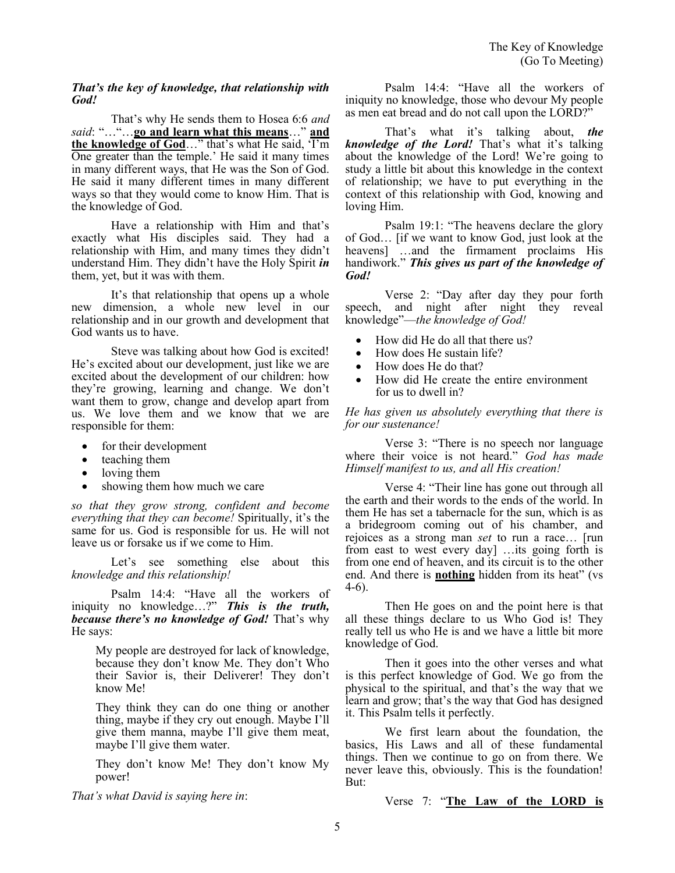#### *That's the key of knowledge, that relationship with God!*

That's why He sends them to Hosea 6:6 *and said*: "…"…**go and learn what this means**…" **and the knowledge of God**…" that's what He said, 'I'm One greater than the temple.' He said it many times in many different ways, that He was the Son of God. He said it many different times in many different ways so that they would come to know Him. That is the knowledge of God.

Have a relationship with Him and that's exactly what His disciples said. They had a relationship with Him, and many times they didn't understand Him. They didn't have the Holy Spirit *in* them, yet, but it was with them.

It's that relationship that opens up a whole new dimension, a whole new level in our relationship and in our growth and development that God wants us to have.

Steve was talking about how God is excited! He's excited about our development, just like we are excited about the development of our children: how they're growing, learning and change. We don't want them to grow, change and develop apart from us. We love them and we know that we are responsible for them:

- for their development
- teaching them
- loving them
- showing them how much we care

*so that they grow strong, confident and become everything that they can become!* Spiritually, it's the same for us. God is responsible for us. He will not leave us or forsake us if we come to Him.

Let's see something else about this *knowledge and this relationship!*

Psalm 14:4: "Have all the workers of iniquity no knowledge…?" *This is the truth, because there's no knowledge of God!* That's why He says:

My people are destroyed for lack of knowledge, because they don't know Me. They don't Who their Savior is, their Deliverer! They don't know Me!

They think they can do one thing or another thing, maybe if they cry out enough. Maybe I'll give them manna, maybe I'll give them meat, maybe I'll give them water.

They don't know Me! They don't know My power!

*That's what David is saying here in*:

Psalm 14:4: "Have all the workers of iniquity no knowledge, those who devour My people as men eat bread and do not call upon the LORD?"

That's what it's talking about, *the knowledge of the Lord!* That's what it's talking about the knowledge of the Lord! We're going to study a little bit about this knowledge in the context of relationship; we have to put everything in the context of this relationship with God, knowing and loving Him.

Psalm 19:1: "The heavens declare the glory of God… [if we want to know God, just look at the heavens] …and the firmament proclaims His handiwork." *This gives us part of the knowledge of God!*

Verse 2: "Day after day they pour forth speech, and night after night they reveal knowledge"—*the knowledge of God!*

- How did He do all that there us?
- How does He sustain life?
- How does He do that?
- How did He create the entire environment for us to dwell in?

*He has given us absolutely everything that there is for our sustenance!* 

Verse 3: "There is no speech nor language where their voice is not heard." *God has made Himself manifest to us, and all His creation!*

Verse 4: "Their line has gone out through all the earth and their words to the ends of the world. In them He has set a tabernacle for the sun, which is as a bridegroom coming out of his chamber, and rejoices as a strong man *set* to run a race… [run from east to west every day] …its going forth is from one end of heaven, and its circuit is to the other end. And there is **nothing** hidden from its heat" (vs 4-6).

Then He goes on and the point here is that all these things declare to us Who God is! They really tell us who He is and we have a little bit more knowledge of God.

Then it goes into the other verses and what is this perfect knowledge of God. We go from the physical to the spiritual, and that's the way that we learn and grow; that's the way that God has designed it. This Psalm tells it perfectly.

We first learn about the foundation, the basics, His Laws and all of these fundamental things. Then we continue to go on from there. We never leave this, obviously. This is the foundation! But:

Verse 7: "**The Law of the LORD is**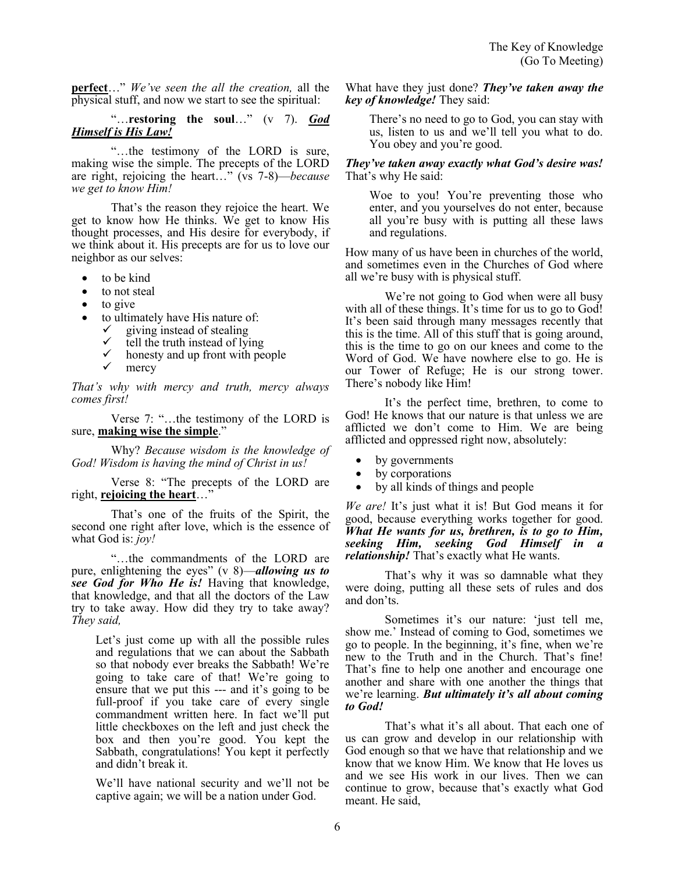**perfect**…" *We've seen the all the creation,* all the physical stuff, and now we start to see the spiritual:

#### "…**restoring the soul**…" (v 7). *God Himself is His Law!*

"…the testimony of the LORD is sure, making wise the simple. The precepts of the LORD are right, rejoicing the heart…" (vs 7-8)—*because we get to know Him!*

That's the reason they rejoice the heart. We get to know how He thinks. We get to know His thought processes, and His desire for everybody, if we think about it. His precepts are for us to love our neighbor as our selves:

- to be kind
- to not steal
- to give
	- to ultimately have His nature of:
		- $\checkmark$  giving instead of stealing<br> $\checkmark$  tell the truth instead of lyi
		- $\checkmark$  tell the truth instead of lying
		- $\checkmark$  honesty and up front with people
		- mercy

*That's why with mercy and truth, mercy always comes first!*

Verse 7: "…the testimony of the LORD is sure, **making wise the simple**."

Why? *Because wisdom is the knowledge of God! Wisdom is having the mind of Christ in us!*

Verse 8: "The precepts of the LORD are right, **rejoicing the heart**…"

That's one of the fruits of the Spirit, the second one right after love, which is the essence of what God is: *joy!*

"…the commandments of the LORD are pure, enlightening the eyes" (v 8)—*allowing us to see God for Who He is!* Having that knowledge, that knowledge, and that all the doctors of the Law try to take away. How did they try to take away? *They said,* 

Let's just come up with all the possible rules and regulations that we can about the Sabbath so that nobody ever breaks the Sabbath! We're going to take care of that! We're going to ensure that we put this --- and it's going to be full-proof if you take care of every single commandment written here. In fact we'll put little checkboxes on the left and just check the box and then you're good. You kept the Sabbath, congratulations! You kept it perfectly and didn't break it.

We'll have national security and we'll not be captive again; we will be a nation under God.

What have they just done? *They've taken away the key of knowledge!* They said:

There's no need to go to God, you can stay with us, listen to us and we'll tell you what to do. You obey and you're good.

#### *They've taken away exactly what God's desire was!* That's why He said:

Woe to you! You're preventing those who enter, and you yourselves do not enter, because all you're busy with is putting all these laws and regulations.

How many of us have been in churches of the world, and sometimes even in the Churches of God where all we're busy with is physical stuff.

We're not going to God when were all busy with all of these things. It's time for us to go to God! It's been said through many messages recently that this is the time. All of this stuff that is going around, this is the time to go on our knees and come to the Word of God. We have nowhere else to go. He is our Tower of Refuge; He is our strong tower. There's nobody like Him!

It's the perfect time, brethren, to come to God! He knows that our nature is that unless we are afflicted we don't come to Him. We are being afflicted and oppressed right now, absolutely:

- by governments
- by corporations
- by all kinds of things and people

*We are!* It's just what it is! But God means it for good, because everything works together for good. *What He wants for us, brethren, is to go to Him, seeking Him, seeking God Himself in a relationship!* That's exactly what He wants.

That's why it was so damnable what they were doing, putting all these sets of rules and dos and don'ts.

Sometimes it's our nature: 'just tell me, show me.' Instead of coming to God, sometimes we go to people. In the beginning, it's fine, when we're new to the Truth and in the Church. That's fine! That's fine to help one another and encourage one another and share with one another the things that we're learning. *But ultimately it's all about coming to God!*

That's what it's all about. That each one of us can grow and develop in our relationship with God enough so that we have that relationship and we know that we know Him. We know that He loves us and we see His work in our lives. Then we can continue to grow, because that's exactly what God meant. He said,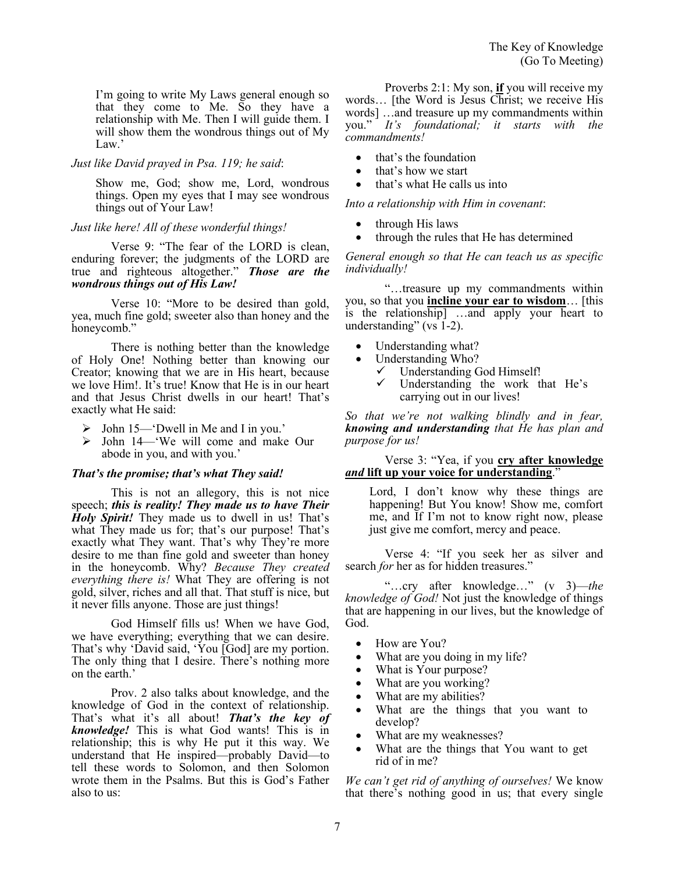I'm going to write My Laws general enough so that they come to Me. So they have a relationship with Me. Then I will guide them. I will show them the wondrous things out of My Law.'

#### *Just like David prayed in Psa. 119; he said*:

Show me, God; show me, Lord, wondrous things. Open my eyes that I may see wondrous things out of Your Law!

#### *Just like here! All of these wonderful things!*

Verse 9: "The fear of the LORD is clean, enduring forever; the judgments of the LORD are true and righteous altogether." *Those are the wondrous things out of His Law!* 

Verse 10: "More to be desired than gold, yea, much fine gold; sweeter also than honey and the honeycomb."

There is nothing better than the knowledge of Holy One! Nothing better than knowing our Creator; knowing that we are in His heart, because we love Him!. It's true! Know that He is in our heart and that Jesus Christ dwells in our heart! That's exactly what He said:

- ➢ John 15—'Dwell in Me and I in you.'
- ➢ John 14—'We will come and make Our abode in you, and with you.'

#### *That's the promise; that's what They said!*

This is not an allegory, this is not nice speech; *this is reality! They made us to have Their Holy Spirit!* They made us to dwell in us! That's what They made us for; that's our purpose! That's exactly what They want. That's why They're more desire to me than fine gold and sweeter than honey in the honeycomb. Why? *Because They created everything there is!* What They are offering is not gold, silver, riches and all that. That stuff is nice, but it never fills anyone. Those are just things!

God Himself fills us! When we have God, we have everything; everything that we can desire. That's why 'David said, 'You [God] are my portion. The only thing that I desire. There's nothing more on the earth.'

Prov. 2 also talks about knowledge, and the knowledge of God in the context of relationship. That's what it's all about! *That's the key of knowledge!* This is what God wants! This is in relationship; this is why He put it this way. We understand that He inspired—probably David—to tell these words to Solomon, and then Solomon wrote them in the Psalms. But this is God's Father also to us:

Proverbs 2:1: My son, **if** you will receive my words… [the Word is Jesus Christ; we receive His words] …and treasure up my commandments within you." *It's foundational; it starts with the commandments!*

- that's the foundation
- that's how we start
- that's what He calls us into

*Into a relationship with Him in covenant*:

- through His laws
- through the rules that He has determined

*General enough so that He can teach us as specific individually!*

"…treasure up my commandments within you, so that you **incline your ear to wisdom**… [this is the relationship] …and apply your heart to understanding" (vs 1-2).

- Understanding what?
- Understanding Who?
	- ✓ Understanding God Himself!
	- Understanding the work that He's carrying out in our lives!

*So that we're not walking blindly and in fear, knowing and understanding that He has plan and purpose for us!*

Verse 3: "Yea, if you **cry after knowledge**  *and* **lift up your voice for understanding**."

Lord, I don't know why these things are happening! But You know! Show me, comfort me, and If I'm not to know right now, please just give me comfort, mercy and peace.

Verse 4: "If you seek her as silver and search *for* her as for hidden treasures."

"…cry after knowledge…" (v 3)—*the knowledge of God!* Not just the knowledge of things that are happening in our lives, but the knowledge of God.

- How are You?
- What are you doing in my life?
- What is Your purpose?
- What are you working?
- What are my abilities?
- What are the things that you want to develop?
- What are my weaknesses?
- What are the things that You want to get rid of in me?

*We can't get rid of anything of ourselves!* We know that there's nothing good in us; that every single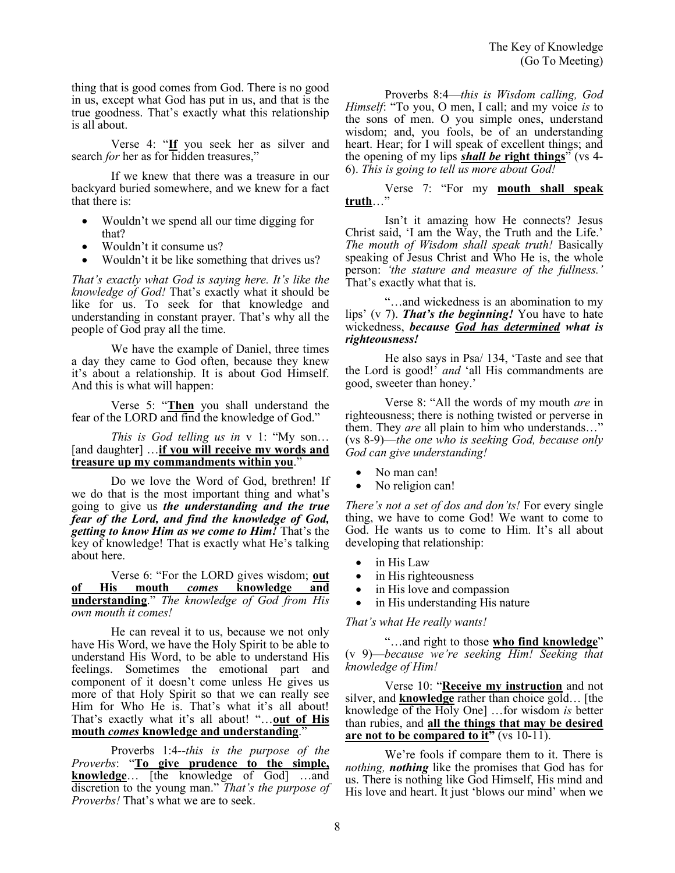thing that is good comes from God. There is no good in us, except what God has put in us, and that is the true goodness. That's exactly what this relationship is all about.

Verse 4: "**If** you seek her as silver and search *for* her as for hidden treasures,"

If we knew that there was a treasure in our backyard buried somewhere, and we knew for a fact that there is:

- Wouldn't we spend all our time digging for that?
- Wouldn't it consume us?
- Wouldn't it be like something that drives us?

*That's exactly what God is saying here. It's like the knowledge of God!* That's exactly what it should be like for us. To seek for that knowledge and understanding in constant prayer. That's why all the people of God pray all the time.

We have the example of Daniel, three times a day they came to God often, because they knew it's about a relationship. It is about God Himself. And this is what will happen:

Verse 5: "**Then** you shall understand the fear of the LORD and find the knowledge of God."

*This is God telling us in* v 1: "My son… [and daughter] …**if you will receive my words and treasure up my commandments within you**."

Do we love the Word of God, brethren! If we do that is the most important thing and what's going to give us *the understanding and the true fear of the Lord, and find the knowledge of God, getting to know Him as we come to Him!* That's the key of knowledge! That is exactly what He's talking about here.

Verse 6: "For the LORD gives wisdom; **out of His mouth** *comes* **knowledge and understanding**." *The knowledge of God from His own mouth it comes!*

He can reveal it to us, because we not only have His Word, we have the Holy Spirit to be able to understand His Word, to be able to understand His feelings. Sometimes the emotional part and component of it doesn't come unless He gives us more of that Holy Spirit so that we can really see Him for Who He is. That's what it's all about! That's exactly what it's all about! "…**out of His mouth** *comes* **knowledge and understanding**."

Proverbs 1:4--*this is the purpose of the Proverbs*: "**To give prudence to the simple, knowledge**… [the knowledge of God] …and discretion to the young man." *That's the purpose of Proverbs!* That's what we are to seek.

Proverbs 8:4—*this is Wisdom calling, God Himself*: "To you, O men, I call; and my voice *is* to the sons of men. O you simple ones, understand wisdom; and, you fools, be of an understanding heart. Hear; for I will speak of excellent things; and the opening of my lips *shall be* **right things**" (vs 4- 6). *This is going to tell us more about God!* 

Verse 7: "For my **mouth shall speak truth**…"

Isn't it amazing how He connects? Jesus Christ said, 'I am the Way, the Truth and the Life.' *The mouth of Wisdom shall speak truth!* Basically speaking of Jesus Christ and Who He is, the whole person: *'the stature and measure of the fullness.'*  That's exactly what that is.

"…and wickedness is an abomination to my lips' (v 7). *That's the beginning!* You have to hate wickedness, *because God has determined what is righteousness!*

He also says in Psa/ 134, 'Taste and see that the Lord is good!' *and* 'all His commandments are good, sweeter than honey.'

Verse 8: "All the words of my mouth *are* in righteousness; there is nothing twisted or perverse in them. They *are* all plain to him who understands…" (vs 8-9)—*the one who is seeking God, because only God can give understanding!*

- No man can!
- No religion can!

*There's not a set of dos and don'ts!* For every single thing, we have to come God! We want to come to God. He wants us to come to Him. It's all about developing that relationship:

- in His Law
- in His righteousness
- in His love and compassion
- in His understanding His nature

#### *That's what He really wants!*

"…and right to those **who find knowledge**" (v 9)—*because we're seeking Him! Seeking that knowledge of Him!*

Verse 10: "**Receive my instruction** and not silver, and **knowledge** rather than choice gold… [the knowledge of the Holy One] …for wisdom *is* better than rubies, and **all the things that may be desired are not to be compared to it"** (vs 10-11).

We're fools if compare them to it. There is *nothing, nothing* like the promises that God has for us. There is nothing like God Himself, His mind and His love and heart. It just 'blows our mind' when we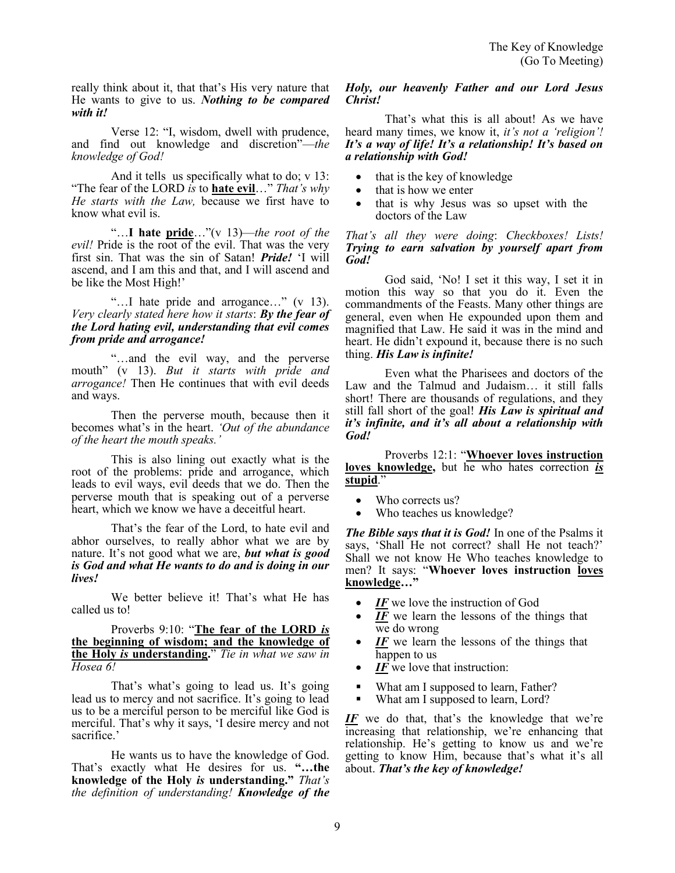really think about it, that that's His very nature that He wants to give to us. *Nothing to be compared with it!*

Verse 12: "I, wisdom, dwell with prudence, and find out knowledge and discretion"—*the knowledge of God!*

And it tells us specifically what to do; v 13: "The fear of the LORD *is* to **hate evil**…" *That's why He starts with the Law,* because we first have to know what evil is.

"…**I hate pride**…"(v 13)—*the root of the evil!* Pride is the root of the evil. That was the very first sin. That was the sin of Satan! *Pride!* 'I will ascend, and I am this and that, and I will ascend and be like the Most High!'

"…I hate pride and arrogance…" (v 13). *Very clearly stated here how it starts*: *By the fear of the Lord hating evil, understanding that evil comes from pride and arrogance!* 

"…and the evil way, and the perverse mouth" (v 13). *But it starts with pride and arrogance!* Then He continues that with evil deeds and ways.

Then the perverse mouth, because then it becomes what's in the heart. *'Out of the abundance of the heart the mouth speaks.'*

This is also lining out exactly what is the root of the problems: pride and arrogance, which leads to evil ways, evil deeds that we do. Then the perverse mouth that is speaking out of a perverse heart, which we know we have a deceitful heart.

That's the fear of the Lord, to hate evil and abhor ourselves, to really abhor what we are by nature. It's not good what we are, *but what is good is God and what He wants to do and is doing in our lives!*

We better believe it! That's what He has called us to!

Proverbs 9:10: "**The fear of the LORD** *is* **the beginning of wisdom; and the knowledge of the Holy** *is* **understanding.**" *Tie in what we saw in Hosea 6!*

That's what's going to lead us. It's going lead us to mercy and not sacrifice. It's going to lead us to be a merciful person to be merciful like God is merciful. That's why it says, 'I desire mercy and not sacrifice.'

He wants us to have the knowledge of God. That's exactly what He desires for us. **"…the knowledge of the Holy** *is* **understanding."** *That's the definition of understanding! Knowledge of the* 

#### *Holy, our heavenly Father and our Lord Jesus Christ!*

That's what this is all about! As we have heard many times, we know it, *it's not a 'religion'! It's a way of life! It's a relationship! It's based on a relationship with God!*

- that is the key of knowledge
- that is how we enter
- that is why Jesus was so upset with the doctors of the Law

#### *That's all they were doing*: *Checkboxes! Lists! Trying to earn salvation by yourself apart from God!*

God said, 'No! I set it this way, I set it in motion this way so that you do it. Even the commandments of the Feasts. Many other things are general, even when He expounded upon them and magnified that Law. He said it was in the mind and heart. He didn't expound it, because there is no such thing. *His Law is infinite!*

Even what the Pharisees and doctors of the Law and the Talmud and Judaism… it still falls short! There are thousands of regulations, and they still fall short of the goal! *His Law is spiritual and it's infinite, and it's all about a relationship with God!*

Proverbs 12:1: "**Whoever loves instruction loves knowledge,** but he who hates correction *is* **stupid**."

- Who corrects us?
- Who teaches us knowledge?

*The Bible says that it is God!* In one of the Psalms it says, 'Shall He not correct? shall He not teach?' Shall we not know He Who teaches knowledge to men? It says: "**Whoever loves instruction loves knowledge…"**

- *IF* we love the instruction of God
- IF we learn the lessons of the things that we do wrong
- *IF* we learn the lessons of the things that happen to us
- *IF* we love that instruction:
- What am I supposed to learn, Father?
- What am I supposed to learn, Lord?

*IF* we do that, that's the knowledge that we're increasing that relationship, we're enhancing that relationship. He's getting to know us and we're getting to know Him, because that's what it's all about. *That's the key of knowledge!*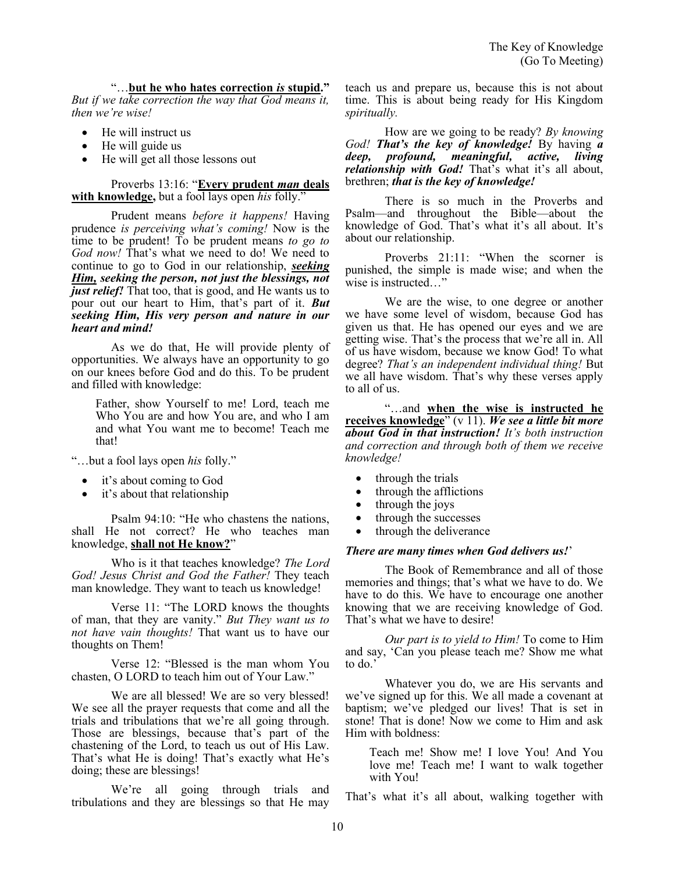## "…**but he who hates correction** *is* **stupid."**

*But if we take correction the way that God means it, then we're wise!*

- He will instruct us
- He will guide us
- He will get all those lessons out

#### Proverbs 13:16: "**Every prudent** *man* **deals with knowledge,** but a fool lays open *his* folly."

Prudent means *before it happens!* Having prudence *is perceiving what's coming!* Now is the time to be prudent! To be prudent means *to go to God now!* That's what we need to do! We need to continue to go to God in our relationship, *seeking Him, seeking the person, not just the blessings, not just relief!* That too, that is good, and He wants us to pour out our heart to Him, that's part of it. *But seeking Him, His very person and nature in our heart and mind!* 

As we do that, He will provide plenty of opportunities. We always have an opportunity to go on our knees before God and do this. To be prudent and filled with knowledge:

Father, show Yourself to me! Lord, teach me Who You are and how You are, and who I am and what You want me to become! Teach me that!

"…but a fool lays open *his* folly."

- it's about coming to God
- it's about that relationship

Psalm 94:10: "He who chastens the nations, shall He not correct? He who teaches man knowledge, **shall not He know?**"

Who is it that teaches knowledge? *The Lord God! Jesus Christ and God the Father!* They teach man knowledge. They want to teach us knowledge!

Verse 11: "The LORD knows the thoughts of man, that they are vanity." *But They want us to not have vain thoughts!* That want us to have our thoughts on Them!

Verse 12: "Blessed is the man whom You chasten, O LORD to teach him out of Your Law."

We are all blessed! We are so very blessed! We see all the prayer requests that come and all the trials and tribulations that we're all going through. Those are blessings, because that's part of the chastening of the Lord, to teach us out of His Law. That's what He is doing! That's exactly what He's doing; these are blessings!

We're all going through trials and tribulations and they are blessings so that He may

teach us and prepare us, because this is not about time. This is about being ready for His Kingdom *spiritually.* 

How are we going to be ready? *By knowing God! That's the key of knowledge!* By having *a deep, profound, meaningful, active, living relationship with God!* That's what it's all about, brethren; *that is the key of knowledge!*

There is so much in the Proverbs and Psalm—and throughout the Bible—about the knowledge of God. That's what it's all about. It's about our relationship.

Proverbs 21:11: "When the scorner is punished, the simple is made wise; and when the wise is instructed…"

We are the wise, to one degree or another we have some level of wisdom, because God has given us that. He has opened our eyes and we are getting wise. That's the process that we're all in. All of us have wisdom, because we know God! To what degree? *That's an independent individual thing!* But we all have wisdom. That's why these verses apply to all of us.

"…and **when the wise is instructed he receives knowledge**" (v 11). *We see a little bit more about God in that instruction! It's both instruction and correction and through both of them we receive knowledge!*

- through the trials
- through the afflictions
- through the joys
- through the successes
- through the deliverance

#### *There are many times when God delivers us!*'

The Book of Remembrance and all of those memories and things; that's what we have to do. We have to do this. We have to encourage one another knowing that we are receiving knowledge of God. That's what we have to desire!

*Our part is to yield to Him!* To come to Him and say, 'Can you please teach me? Show me what to do.'

Whatever you do, we are His servants and we've signed up for this. We all made a covenant at baptism; we've pledged our lives! That is set in stone! That is done! Now we come to Him and ask Him with boldness:

Teach me! Show me! I love You! And You love me! Teach me! I want to walk together with You!

That's what it's all about, walking together with